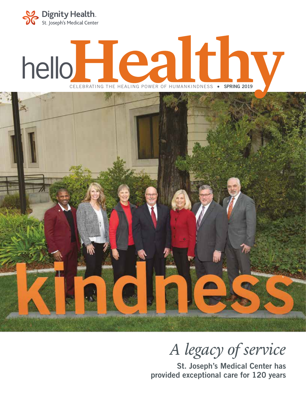

# helloHealthv CELEBRATING THE HEALING POWER OF HUMANKINDNESS • **SPRING 2019**



# *A legacy of service*

St. Joseph's Medical Center has provided exceptional care for 120 years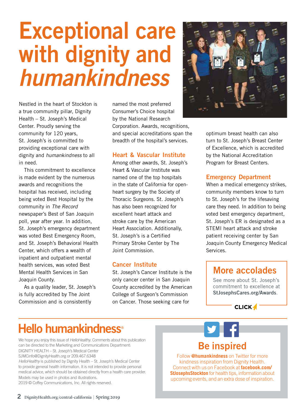# Exceptional care with dignity and *humankindness*

Nestled in the heart of Stockton is a true community pillar, Dignity Health – St. Joseph's Medical Center. Proudly serving the community for 120 years, St. Joseph's is committed to providing exceptional care with dignity and *humankindness* to all in need.

This commitment to excellence is made evident by the numerous awards and recognitions the hospital has received, including being voted Best Hospital by the community in *The Record*  newspaper's Best of San Joaquin poll, year after year. In addition, St. Joseph's emergency department was voted Best Emergency Room, and St. Joseph's Behavioral Health Center, which offers a wealth of inpatient and outpatient mental health services, was voted Best Mental Health Services in San Joaquin County.

As a quality leader, St. Joseph's is fully accredited by The Joint Commission and is consistently

named the most preferred Consumer's Choice hospital by the National Research Corporation. Awards, recognitions, and special accreditations span the breadth of the hospital's services.

#### Heart & Vascular Institute

Among other awards, St. Joseph's Heart & Vascular Institute was named one of the top hospitals in the state of California for openheart surgery by the Society of Thoracic Surgeons. St. Joseph's has also been recognized for excellent heart attack and stroke care by the American Heart Association. Additionally, St. Joseph's is a Certified Primary Stroke Center by The Joint Commission.

#### Cancer Institute

St. Joseph's Cancer Institute is the only cancer center in San Joaquin County accredited by the American College of Surgeon's Commission on Cancer. Those seeking care for



optimum breast health can also turn to St. Joseph's Breast Center of Excellence, which is accredited by the National Accreditation Program for Breast Centers.

#### Emergency Department

When a medical emergency strikes, community members know to turn to St. Joseph's for the lifesaving care they need. In addition to being voted best emergency department, St. Joseph's ER is designated as a STEMI heart attack and stroke patient receiving center by San Joaquin County Emergency Medical Services.

# More accolades

See more about St. Joseph's commitment to excellence at StJosephsCares.org/Awards.

**CLICK4** 

Facebook "f" Logo C MYK / .ai

# Hello humankindness<sup>®</sup>

We hope you enjoy this issue of *HelloHealthy*. Comments about this publication can be directed to the Marketing and Communications Department: DIGNITY HEALTH – St. Joseph's Medical Center SJMCinfo@DignityHealth.org or 209.467.6348

*HelloHealthy* is published by Dignity Health – St. Joseph's Medical Center to provide general health information. It is not intended to provide personal medical advice, which should be obtained directly from a health care provider. Models may be used in photos and illustrations.

2019 © Coffey Communications, Inc. All rights reserved.

# Be inspired

Follow **@humankindness** on Twitter for more kindness inspiration from Dignity Health. Connect with us on Facebook at **facebook.com/ StJosephsStockton** for health tips, information about upcoming events, and an extra dose of inspiration.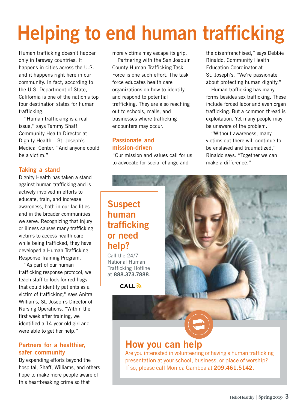# Helping to end human trafficking

Human trafficking doesn't happen only in faraway countries. It happens in cities across the U.S., and it happens right here in our community. In fact, according to the U.S. Department of State, California is one of the nation's top four destination states for human trafficking.

"Human trafficking is a real issue," says Tammy Shaff, Community Health Director at Dignity Health – St. Joseph's Medical Center. "And anyone could be a victim."

#### Taking a stand

Dignity Health has taken a stand against human trafficking and is actively involved in efforts to educate, train, and increase awareness, both in our facilities and in the broader communities we serve. Recognizing that injury or illness causes many trafficking victims to access health care while being trafficked, they have developed a Human Trafficking Response Training Program.

"As part of our human trafficking response protocol, we teach staff to look for red flags that could identify patients as a victim of trafficking," says Anitra Williams, St. Joseph's Director of Nursing Operations. "Within the first week after training, we identified a 14-year-old girl and were able to get her help."

#### Partners for a healthier, safer community

By expanding efforts beyond the hospital, Shaff, Williams, and others hope to make more people aware of this heartbreaking crime so that

more victims may escape its grip.

Partnering with the San Joaquin County Human Trafficking Task Force is one such effort. The task force educates health care organizations on how to identify and respond to potential trafficking. They are also reaching out to schools, malls, and businesses where trafficking encounters may occur.

#### Passionate and mission-driven

"Our mission and values call for us to advocate for social change and

the disenfranchised," says Debbie Rinaldo, Community Health Education Coordinator at St. Joseph's. "We're passionate about protecting human dignity."

Human trafficking has many forms besides sex trafficking. These include forced labor and even organ trafficking. But a common thread is exploitation. Yet many people may be unaware of the problem.

"Without awareness, many victims out there will continue to be enslaved and traumatized," Rinaldo says. "Together we can make a difference."

## Suspect human trafficking or need help?

Call the 24/7 National Human Trafficking Hotline at 888.373.7888.

 $CALL \overline{\mathbf{a}}$ 

## How you can help

Are you interested in volunteering or having a human trafficking presentation at your school, business, or place of worship? If so, please call Monica Gamboa at 209.461.5142.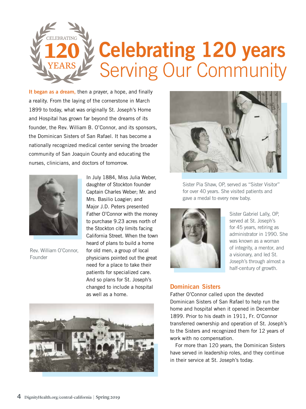

It began as a dream, then a prayer, a hope, and finally a reality. From the laying of the cornerstone in March 1899 to today, what was originally St. Joseph's Home and Hospital has grown far beyond the dreams of its founder, the Rev. William B. O'Connor, and its sponsors, the Dominican Sisters of San Rafael. It has become a nationally recognized medical center serving the broader community of San Joaquin County and educating the nurses, clinicians, and doctors of tomorrow.



Rev. William O'Connor, Founder

In July 1884, Miss Julia Weber, daughter of Stockton founder Captain Charles Weber; Mr. and Mrs. Basilio Loagier; and Major J.D. Peters presented Father O'Connor with the money to purchase 9.23 acres north of the Stockton city limits facing California Street. When the town heard of plans to build a home for old men, a group of local physicians pointed out the great need for a place to take their patients for specialized care. And so plans for St. Joseph's changed to include a hospital as well as a home.





Sister Pia Shaw, OP, served as "Sister Visitor" for over 40 years. She visited patients and gave a medal to every new baby.



Sister Gabriel Lally, OP, served at St. Joseph's for 45 years, retiring as administrator in 1990. She was known as a woman of integrity, a mentor, and a visionary, and led St. Joseph's through almost a half-century of growth.

#### Dominican Sisters

Father O'Connor called upon the devoted Dominican Sisters of San Rafael to help run the home and hospital when it opened in December 1899. Prior to his death in 1911, Fr. O'Connor transferred ownership and operation of St. Joseph's to the Sisters and recognized them for 12 years of work with no compensation.

For more than 120 years, the Dominican Sisters have served in leadership roles, and they continue in their service at St. Joseph's today.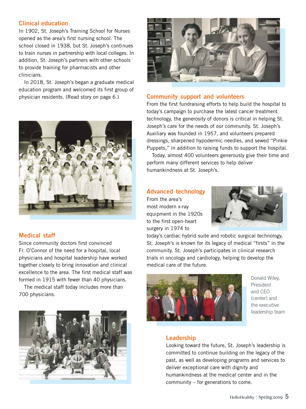#### Clinical education

In 1902, St. Joseph's Training School for Nurses opened as the area's first nursing school. The school closed in 1938, but St. Joseph's continues to train nurses in partnership with local colleges. In addition, St. Joseph's partners with other schools to provide training for pharmacists and other clinicians.

In 2018, St. Joseph's began a graduate medical education program and welcomed its first group of physician residents. (Read story on page 6.)



#### Medical staff

Since community doctors first convinced Fr. O'Connor of the need for a hospital, local physicians and hospital leadership have worked together closely to bring innovation and clinical excellence to the area. The first medical staff was formed in 1915 with fewer than 40 physicians.

The medical staff today includes more than 700 physicians.





#### Community support and volunteers

From the first fundraising efforts to help build the hospital to today's campaign to purchase the latest cancer treatment technology, the generosity of donors is critical in helping St. Joseph's care for the needs of our community. St. Joseph's Auxiliary was founded in 1957, and volunteers prepared dressings, sharpened hypodermic needles, and sewed "Pinkie Puppets," in addition to raising funds to support the hospital.

Today, almost 400 volunteers generously give their time and perform many different services to help deliver humankindness at St. Joseph's.

#### Advanced technology

From the area's most modern x-ray equipment in the 1920s to the first open-heart surgery in 1974 to



today's cardiac hybrid suite and robotic surgical technology, St. Joseph's is known for its legacy of medical "firsts" in the community. St. Joseph's participates in clinical research trials in oncology and cardiology, helping to develop the medical care of the future.



Donald Wiley, President and CEO (center) and the executive leadership team

#### Leadership

Looking toward the future, St. Joseph's leadership is committed to continue building on the legacy of the past, as well as developing programs and services to deliver exceptional care with dignity and humankindness at the medical center and in the community – for generations to come.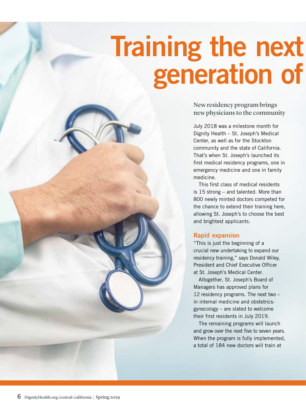# generation of Training the next

New residency program brings new physicians to the community

July 2018 was a milestone month for Dignity Health – St. Joseph's Medical Center, as well as for the Stockton community and the state of California. That's when St. Joseph's launched its first medical residency programs, one in emergency medicine and one in family medicine.

This first class of medical residents is 15 strong – and talented. More than 800 newly minted doctors competed for the chance to extend their training here, allowing St. Joseph's to choose the best and brightest applicants.

#### Rapid expansion

"This is just the beginning of a crucial new undertaking to expand our residency training," says Donald Wiley, President and Chief Executive Officer at St. Joseph's Medical Center.

Altogether, St. Joseph's Board of Managers has approved plans for 12 residency programs. The next two – in internal medicine and obstetricsgynecology – are slated to welcome their first residents in July 2019.

The remaining programs will launch and grow over the next five to seven years. When the program is fully implemented, a total of 184 new doctors will train at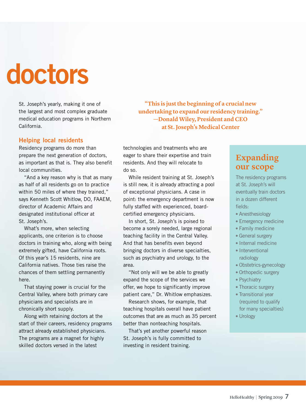# doctors

St. Joseph's yearly, making it one of the largest and most complex graduate medical education programs in Northern California.

#### Helping local residents

Residency programs do more than prepare the next generation of doctors, as important as that is. They also benefit local communities.

"And a key reason why is that as many as half of all residents go on to practice within 50 miles of where they trained," says Kenneth Scott Whitlow, DO, FAAEM, director of Academic Affairs and designated institutional officer at St. Joseph's.

What's more, when selecting applicants, one criterion is to choose doctors in training who, along with being extremely gifted, have California roots. Of this year's 15 residents, nine are California natives. Those ties raise the chances of them settling permanently here.

That staying power is crucial for the Central Valley, where both primary care physicians and specialists are in chronically short supply.

Along with retaining doctors at the start of their careers, residency programs attract already established physicians. The programs are a magnet for highly skilled doctors versed in the latest

**"This is just the beginning of a crucial new undertaking to expand our residency training." —Donald Wiley, President and CEO at St. Joseph's Medical Center**

technologies and treatments who are eager to share their expertise and train residents. And they will relocate to do so.

While resident training at St. Joseph's is still new, it is already attracting a pool of exceptional physicians. A case in point: the emergency department is now fully staffed with experienced, boardcertified emergency physicians.

In short, St. Joseph's is poised to become a sorely needed, large regional teaching facility in the Central Valley. And that has benefits even beyond bringing doctors in diverse specialties, such as psychiatry and urology, to the area.

"Not only will we be able to greatly expand the scope of the services we offer, we hope to significantly improve patient care," Dr. Whitlow emphasizes.

Research shows, for example, that teaching hospitals overall have patient outcomes that are as much as 35 percent better than nonteaching hospitals.

That's yet another powerful reason St. Joseph's is fully committed to investing in resident training.

### **Expanding our scope**

The residency programs at St. Joseph's will eventually train doctors in a dozen different fields:

- Anesthesiology
- Emergency medicine
- Family medicine
- General surgery
- Internal medicine
- Interventional radiology
- Obstetrics-gynecology
- Orthopedic surgery
- Psychiatry
- Thoracic surgery
- Transitional year (required to qualify for many specialties)
- Urology